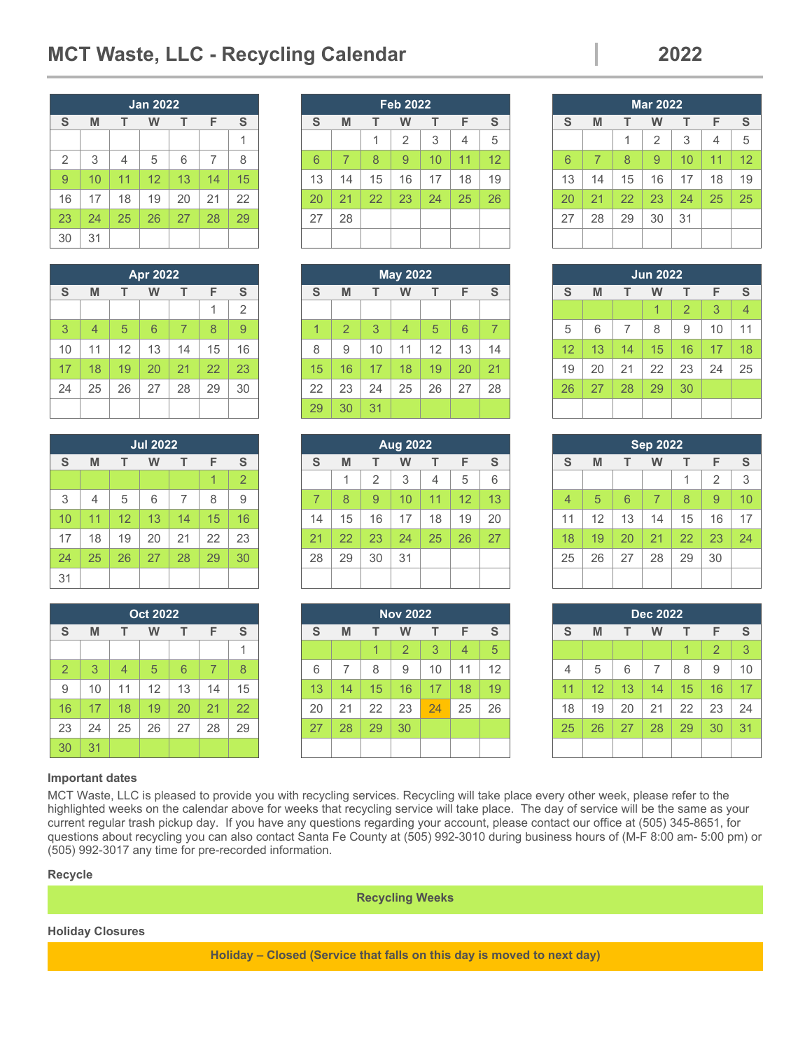# **MCT Waste, LLC - Recycling Calendar 2022**

|                |    |                | <b>Jan 2022</b> |    |    |    |
|----------------|----|----------------|-----------------|----|----|----|
| S              | M  | т              | w               | т  | F  | S  |
|                |    |                |                 |    |    | 1  |
| $\overline{2}$ | 3  | $\overline{4}$ | 5               | 6  | 7  | 8  |
| 9              | 10 | 11             | 12              | 13 | 14 | 15 |
| 16             | 17 | 18             | 19              | 20 | 21 | 22 |
| 23             | 24 | 25             | 26              | 27 | 28 | 29 |
| 30             | 31 |                |                 |    |    |    |

|    |                |    | <b>Apr 2022</b> |                |    |                |
|----|----------------|----|-----------------|----------------|----|----------------|
| S  | M              | т  | w               | т              | F  | S              |
|    |                |    |                 |                | 1  | $\overline{2}$ |
| 3  | $\overline{4}$ | 5  | 6               | $\overline{7}$ | 8  | 9              |
| 10 | 11             | 12 | 13              | 14             | 15 | 16             |
| 17 | 18             | 19 | 20              | 21             | 22 | 23             |
| 24 | 25             | 26 | 27              | 28             | 29 | 30             |
|    |                |    |                 |                |    |                |

|    |                |    | <b>Jul 2022</b> |    |    |                |
|----|----------------|----|-----------------|----|----|----------------|
| S  | M              | т  | W               | т  | F  | S              |
|    |                |    |                 |    | 1  | $\overline{2}$ |
| 3  | $\overline{4}$ | 5  | 6               | 7  | 8  | 9              |
| 10 | 11             | 12 | 13              | 14 | 15 | 16             |
| 17 | 18             | 19 | 20              | 21 | 22 | 23             |
| 24 | 25             | 26 | 27              | 28 | 29 | 30             |
| 31 |                |    |                 |    |    |                |

|                |    |                | <b>Oct 2022</b> |    |    |    |
|----------------|----|----------------|-----------------|----|----|----|
| S              | M  | т              | W               | т  | F  | S  |
|                |    |                |                 |    |    |    |
| $\overline{2}$ | 3  | $\overline{4}$ | 5               | 6  | 7  | 8  |
| 9              | 10 | 11             | 12              | 13 | 14 | 15 |
| 16             | 17 | 18             | 19              | 20 | 21 | 22 |
| 23             | 24 | 25             | 26              | 27 | 28 | 29 |
| 30             | 31 |                |                 |    |    |    |

## **Feb 2022 S M T W T F S**   $1 \mid 1 \mid 2 \mid 3 \mid 4 \mid 5$ 6 | 7 | 8 | 9 | 10 | 11 | 12 13 | 14 | 15 | 16 | 17 | 18 | 19 20 | 21 | 22 | 23 | 24 | 25 | 26  $27 \mid 28$

|    |                |    | <b>May 2022</b> |    |    |    |
|----|----------------|----|-----------------|----|----|----|
| S  | M              | т  | W               | т  | F  | S  |
|    |                |    |                 |    |    |    |
| 1  | $\overline{2}$ | 3  | 4               | 5  | 6  | 7  |
| 8  | 9              | 10 | 11              | 12 | 13 | 14 |
| 15 | 16             | 17 | 18              | 19 | 20 | 21 |
| 22 | 23             | 24 | 25              | 26 | 27 | 28 |
| 29 | 30             | 31 |                 |    |    |    |

|    |    |                | <b>Aug 2022</b> |    |    |    |
|----|----|----------------|-----------------|----|----|----|
| S  | M  | т              | W               | т  | F  | S  |
|    | 1  | $\overline{2}$ | 3               | 4  | 5  | 6  |
| 7  | 8  | 9              | 10              | 11 | 12 | 13 |
| 14 | 15 | 16             | 17              | 18 | 19 | 20 |
| 21 | 22 | 23             | 24              | 25 | 26 | 27 |
| 28 | 29 | 30             | 31              |    |    |    |
|    |    |                |                 |    |    |    |

|    |    |    | <b>Nov 2022</b> |    |    |    |
|----|----|----|-----------------|----|----|----|
| S  | M  | т  | W               | т  | F  | S  |
|    |    | 1  | $\overline{2}$  | 3  | 4  | 5  |
| 6  | 7  | 8  | 9               | 10 | 11 | 12 |
| 13 | 14 | 15 | 16              | 17 | 18 | 19 |
| 20 | 21 | 22 | 23              | 24 | 25 | 26 |
| 27 | 28 | 29 | 30              |    |    |    |
|    |    |    |                 |    |    |    |

|    |    |    | <b>Mar 2022</b> |    |    |    |
|----|----|----|-----------------|----|----|----|
| S  | M  | т  | W               | т  | F  | S  |
|    |    | 1  | $\overline{2}$  | 3  | 4  | 5  |
| 6  | 7  | 8  | 9               | 10 | 11 | 12 |
| 13 | 14 | 15 | 16              | 17 | 18 | 19 |
| 20 | 21 | 22 | 23              | 24 | 25 | 25 |
| 27 | 28 | 29 | 30              | 31 |    |    |
|    |    |    |                 |    |    |    |

|    |    |    | <b>Jun 2022</b> |                |    |    |
|----|----|----|-----------------|----------------|----|----|
| S  | M  | т  | W               | т              | F  | S  |
|    |    |    | 1               | $\overline{2}$ | 3  | 4  |
| 5  | 6  | 7  | 8               | 9              | 10 | 11 |
| 12 | 13 | 14 | 15              | 16             | 17 | 18 |
| 19 | 20 | 21 | 22              | 23             | 24 | 25 |
| 26 | 27 | 28 | 29              | 30             |    |    |
|    |    |    |                 |                |    |    |

|                |    |    | <b>Sep 2022</b> |    |                |    |
|----------------|----|----|-----------------|----|----------------|----|
| S              | M  | т  | W               | т  | F              | S  |
|                |    |    |                 | 1  | $\overline{2}$ | 3  |
| $\overline{4}$ | 5  | 6  | 7               | 8  | 9              | 10 |
| 11             | 12 | 13 | 14              | 15 | 16             | 17 |
| 18             | 19 | 20 | 21              | 22 | 23             | 24 |
| 25             | 26 | 27 | 28              | 29 | 30             |    |
|                |    |    |                 |    |                |    |

|    |    |    | <b>Dec 2022</b> |    |                |    |
|----|----|----|-----------------|----|----------------|----|
| S  | M  | т  | W               | т  | F              | S  |
|    |    |    |                 | 1  | $\overline{2}$ | 3  |
| 4  | 5  | 6  | 7               | 8  | 9              | 10 |
| 11 | 12 | 13 | 14              | 15 | 16             | 17 |
| 18 | 19 | 20 | 21              | 22 | 23             | 24 |
| 25 | 26 | 27 | 28              | 29 | 30             | 31 |
|    |    |    |                 |    |                |    |

### **Important dates**

MCT Waste, LLC is pleased to provide you with recycling services. Recycling will take place every other week, please refer to the highlighted weeks on the calendar above for weeks that recycling service will take place. The day of service will be the same as your current regular trash pickup day. If you have any questions regarding your account, please contact our office at (505) 345-8651, for questions about recycling you can also contact Santa Fe County at (505) 992-3010 during business hours of (M-F 8:00 am- 5:00 pm) or (505) 992-3017 any time for pre-recorded information.

### **Recycle**

**Recycling Weeks** 

## **Holiday Closures**

**Holiday – Closed (Service that falls on this day is moved to next day)**